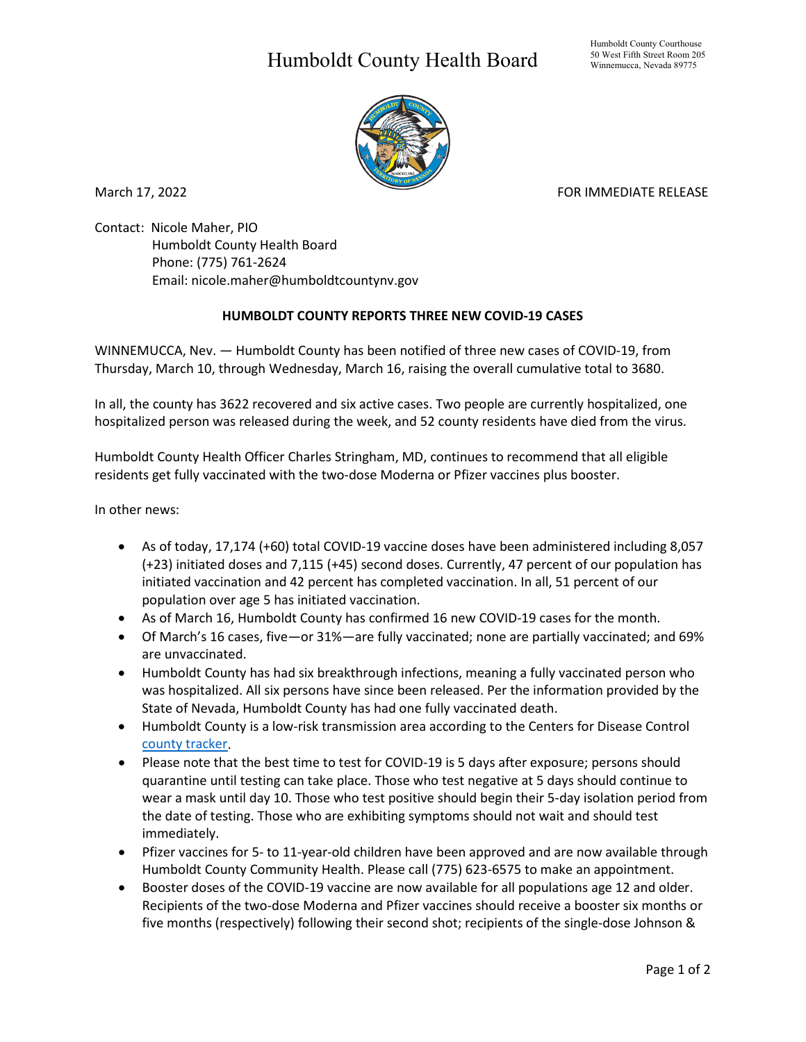## Humboldt County Health Board



March 17, 2022 **FOR IMMEDIATE RELEASE** 

Contact: Nicole Maher, PIO Humboldt County Health Board Phone: (775) 761-2624 Email: nicole.maher@humboldtcountynv.gov

## **HUMBOLDT COUNTY REPORTS THREE NEW COVID-19 CASES**

WINNEMUCCA, Nev. — Humboldt County has been notified of three new cases of COVID-19, from Thursday, March 10, through Wednesday, March 16, raising the overall cumulative total to 3680.

In all, the county has 3622 recovered and six active cases. Two people are currently hospitalized, one hospitalized person was released during the week, and 52 county residents have died from the virus.

Humboldt County Health Officer Charles Stringham, MD, continues to recommend that all eligible residents get fully vaccinated with the two-dose Moderna or Pfizer vaccines plus booster.

In other news:

- As of today, 17,174 (+60) total COVID-19 vaccine doses have been administered including 8,057 (+23) initiated doses and 7,115 (+45) second doses. Currently, 47 percent of our population has initiated vaccination and 42 percent has completed vaccination. In all, 51 percent of our population over age 5 has initiated vaccination.
- As of March 16, Humboldt County has confirmed 16 new COVID-19 cases for the month.
- Of March's 16 cases, five—or 31%—are fully vaccinated; none are partially vaccinated; and 69% are unvaccinated.
- Humboldt County has had six breakthrough infections, meaning a fully vaccinated person who was hospitalized. All six persons have since been released. Per the information provided by the State of Nevada, Humboldt County has had one fully vaccinated death.
- Humboldt County is a low-risk transmission area according to the Centers for Disease Control [county tracker.](https://www.cdc.gov/coronavirus/2019-ncov/science/community-levels.html)
- Please note that the best time to test for COVID-19 is 5 days after exposure; persons should quarantine until testing can take place. Those who test negative at 5 days should continue to wear a mask until day 10. Those who test positive should begin their 5-day isolation period from the date of testing. Those who are exhibiting symptoms should not wait and should test immediately.
- Pfizer vaccines for 5- to 11-year-old children have been approved and are now available through Humboldt County Community Health. Please call (775) 623-6575 to make an appointment.
- Booster doses of the COVID-19 vaccine are now available for all populations age 12 and older. Recipients of the two-dose Moderna and Pfizer vaccines should receive a booster six months or five months (respectively) following their second shot; recipients of the single-dose Johnson &